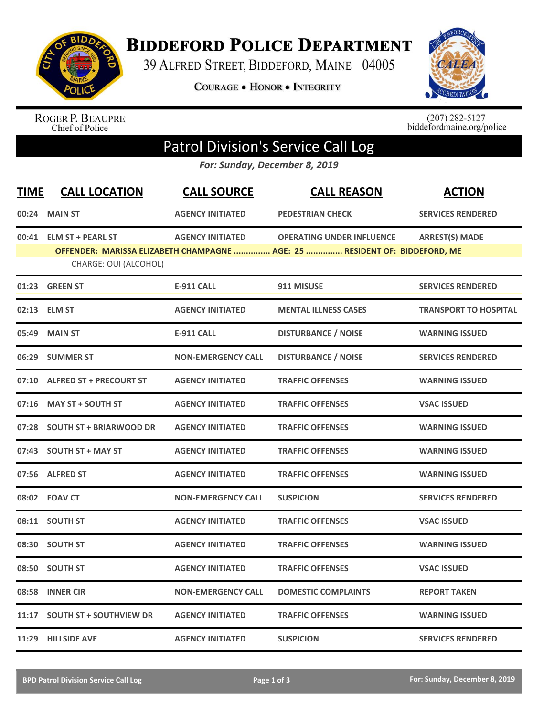

**BIDDEFORD POLICE DEPARTMENT** 

39 ALFRED STREET, BIDDEFORD, MAINE 04005

**COURAGE . HONOR . INTEGRITY** 



ROGER P. BEAUPRE<br>Chief of Police

 $(207)$  282-5127<br>biddefordmaine.org/police

## Patrol Division's Service Call Log

*For: Sunday, December 8, 2019*

| <b>TIME</b> | <b>CALL LOCATION</b>           | <b>CALL SOURCE</b>        | <b>CALL REASON</b>                                                         | <b>ACTION</b>                |
|-------------|--------------------------------|---------------------------|----------------------------------------------------------------------------|------------------------------|
|             | 00:24 MAIN ST                  | <b>AGENCY INITIATED</b>   | <b>PEDESTRIAN CHECK</b>                                                    | <b>SERVICES RENDERED</b>     |
|             | 00:41 ELM ST + PEARL ST        | <b>AGENCY INITIATED</b>   | <b>OPERATING UNDER INFLUENCE</b>                                           | <b>ARREST(S) MADE</b>        |
|             | CHARGE: OUI (ALCOHOL)          |                           | OFFENDER: MARISSA ELIZABETH CHAMPAGNE  AGE: 25  RESIDENT OF: BIDDEFORD, ME |                              |
|             | 01:23 GREEN ST                 | <b>E-911 CALL</b>         | 911 MISUSE                                                                 | <b>SERVICES RENDERED</b>     |
|             | 02:13 ELM ST                   | <b>AGENCY INITIATED</b>   | <b>MENTAL ILLNESS CASES</b>                                                | <b>TRANSPORT TO HOSPITAL</b> |
| 05:49       | <b>MAIN ST</b>                 | <b>E-911 CALL</b>         | <b>DISTURBANCE / NOISE</b>                                                 | <b>WARNING ISSUED</b>        |
| 06:29       | <b>SUMMER ST</b>               | <b>NON-EMERGENCY CALL</b> | <b>DISTURBANCE / NOISE</b>                                                 | <b>SERVICES RENDERED</b>     |
|             | 07:10 ALFRED ST + PRECOURT ST  | <b>AGENCY INITIATED</b>   | <b>TRAFFIC OFFENSES</b>                                                    | <b>WARNING ISSUED</b>        |
| 07:16       | <b>MAY ST + SOUTH ST</b>       | <b>AGENCY INITIATED</b>   | <b>TRAFFIC OFFENSES</b>                                                    | <b>VSAC ISSUED</b>           |
| 07:28       | <b>SOUTH ST + BRIARWOOD DR</b> | <b>AGENCY INITIATED</b>   | <b>TRAFFIC OFFENSES</b>                                                    | <b>WARNING ISSUED</b>        |
|             | 07:43 SOUTH ST + MAY ST        | <b>AGENCY INITIATED</b>   | <b>TRAFFIC OFFENSES</b>                                                    | <b>WARNING ISSUED</b>        |
|             | 07:56 ALFRED ST                | <b>AGENCY INITIATED</b>   | <b>TRAFFIC OFFENSES</b>                                                    | <b>WARNING ISSUED</b>        |
|             | 08:02 FOAV CT                  | <b>NON-EMERGENCY CALL</b> | <b>SUSPICION</b>                                                           | <b>SERVICES RENDERED</b>     |
|             | 08:11 SOUTH ST                 | <b>AGENCY INITIATED</b>   | <b>TRAFFIC OFFENSES</b>                                                    | <b>VSAC ISSUED</b>           |
| 08:30       | <b>SOUTH ST</b>                | <b>AGENCY INITIATED</b>   | <b>TRAFFIC OFFENSES</b>                                                    | <b>WARNING ISSUED</b>        |
| 08:50       | <b>SOUTH ST</b>                | <b>AGENCY INITIATED</b>   | <b>TRAFFIC OFFENSES</b>                                                    | <b>VSAC ISSUED</b>           |
|             | 08:58 INNER CIR                | <b>NON-EMERGENCY CALL</b> | <b>DOMESTIC COMPLAINTS</b>                                                 | <b>REPORT TAKEN</b>          |
| 11:17       | <b>SOUTH ST + SOUTHVIEW DR</b> | <b>AGENCY INITIATED</b>   | <b>TRAFFIC OFFENSES</b>                                                    | <b>WARNING ISSUED</b>        |
|             | 11:29 HILLSIDE AVE             | <b>AGENCY INITIATED</b>   | <b>SUSPICION</b>                                                           | <b>SERVICES RENDERED</b>     |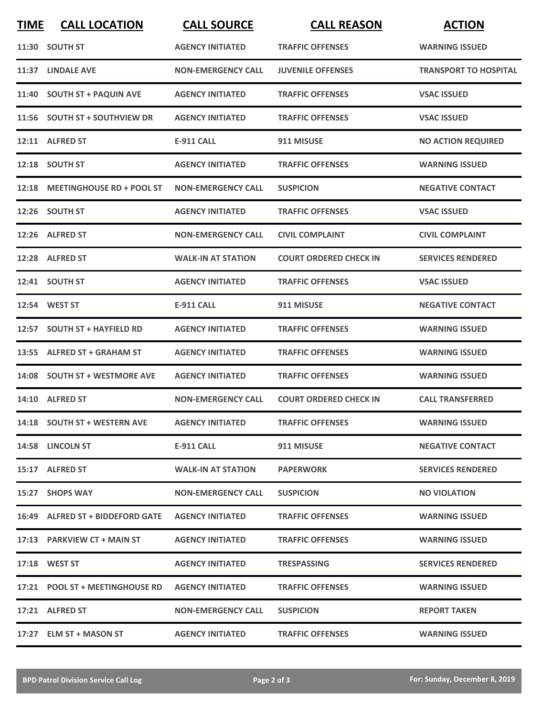| <b>TIME</b> | <b>CALL LOCATION</b>             | <b>CALL SOURCE</b>        | <b>CALL REASON</b>            | <b>ACTION</b>                |
|-------------|----------------------------------|---------------------------|-------------------------------|------------------------------|
|             | 11:30 SOUTH ST                   | <b>AGENCY INITIATED</b>   | <b>TRAFFIC OFFENSES</b>       | <b>WARNING ISSUED</b>        |
|             | 11:37 LINDALE AVE                | <b>NON-EMERGENCY CALL</b> | <b>JUVENILE OFFENSES</b>      | <b>TRANSPORT TO HOSPITAL</b> |
|             | 11:40 SOUTH ST + PAQUIN AVE      | <b>AGENCY INITIATED</b>   | <b>TRAFFIC OFFENSES</b>       | <b>VSAC ISSUED</b>           |
|             | 11:56 SOUTH ST + SOUTHVIEW DR    | <b>AGENCY INITIATED</b>   | <b>TRAFFIC OFFENSES</b>       | <b>VSAC ISSUED</b>           |
|             | 12:11 ALFRED ST                  | <b>E-911 CALL</b>         | 911 MISUSE                    | <b>NO ACTION REQUIRED</b>    |
|             | 12:18 SOUTH ST                   | <b>AGENCY INITIATED</b>   | <b>TRAFFIC OFFENSES</b>       | <b>WARNING ISSUED</b>        |
|             | 12:18 MEETINGHOUSE RD + POOL ST  | <b>NON-EMERGENCY CALL</b> | <b>SUSPICION</b>              | <b>NEGATIVE CONTACT</b>      |
|             | 12:26 SOUTH ST                   | <b>AGENCY INITIATED</b>   | <b>TRAFFIC OFFENSES</b>       | <b>VSAC ISSUED</b>           |
|             | 12:26 ALFRED ST                  | <b>NON-EMERGENCY CALL</b> | <b>CIVIL COMPLAINT</b>        | <b>CIVIL COMPLAINT</b>       |
|             | 12:28 ALFRED ST                  | <b>WALK-IN AT STATION</b> | <b>COURT ORDERED CHECK IN</b> | <b>SERVICES RENDERED</b>     |
|             | 12:41 SOUTH ST                   | <b>AGENCY INITIATED</b>   | <b>TRAFFIC OFFENSES</b>       | <b>VSAC ISSUED</b>           |
|             | 12:54 WEST ST                    | <b>E-911 CALL</b>         | 911 MISUSE                    | <b>NEGATIVE CONTACT</b>      |
| 12:57       | <b>SOUTH ST + HAYFIELD RD</b>    | <b>AGENCY INITIATED</b>   | <b>TRAFFIC OFFENSES</b>       | <b>WARNING ISSUED</b>        |
| 13:55       | <b>ALFRED ST + GRAHAM ST</b>     | <b>AGENCY INITIATED</b>   | <b>TRAFFIC OFFENSES</b>       | <b>WARNING ISSUED</b>        |
|             | 14:08 SOUTH ST + WESTMORE AVE    | <b>AGENCY INITIATED</b>   | <b>TRAFFIC OFFENSES</b>       | <b>WARNING ISSUED</b>        |
|             | 14:10 ALFRED ST                  | <b>NON-EMERGENCY CALL</b> | <b>COURT ORDERED CHECK IN</b> | <b>CALL TRANSFERRED</b>      |
|             | 14:18 SOUTH ST + WESTERN AVE     | <b>AGENCY INITIATED</b>   | <b>TRAFFIC OFFENSES</b>       | <b>WARNING ISSUED</b>        |
|             | 14:58 LINCOLN ST                 | E-911 CALL                | 911 MISUSE                    | <b>NEGATIVE CONTACT</b>      |
|             | 15:17 ALFRED ST                  | <b>WALK-IN AT STATION</b> | <b>PAPERWORK</b>              | <b>SERVICES RENDERED</b>     |
|             | 15:27 SHOPS WAY                  | <b>NON-EMERGENCY CALL</b> | <b>SUSPICION</b>              | <b>NO VIOLATION</b>          |
|             | 16:49 ALFRED ST + BIDDEFORD GATE | <b>AGENCY INITIATED</b>   | <b>TRAFFIC OFFENSES</b>       | <b>WARNING ISSUED</b>        |
|             | 17:13 PARKVIEW CT + MAIN ST      | <b>AGENCY INITIATED</b>   | <b>TRAFFIC OFFENSES</b>       | <b>WARNING ISSUED</b>        |
|             | 17:18 WEST ST                    | <b>AGENCY INITIATED</b>   | <b>TRESPASSING</b>            | <b>SERVICES RENDERED</b>     |
|             | 17:21 POOL ST + MEETINGHOUSE RD  | <b>AGENCY INITIATED</b>   | <b>TRAFFIC OFFENSES</b>       | <b>WARNING ISSUED</b>        |
|             | 17:21 ALFRED ST                  | <b>NON-EMERGENCY CALL</b> | <b>SUSPICION</b>              | <b>REPORT TAKEN</b>          |
|             | 17:27 ELM ST + MASON ST          | <b>AGENCY INITIATED</b>   | <b>TRAFFIC OFFENSES</b>       | <b>WARNING ISSUED</b>        |